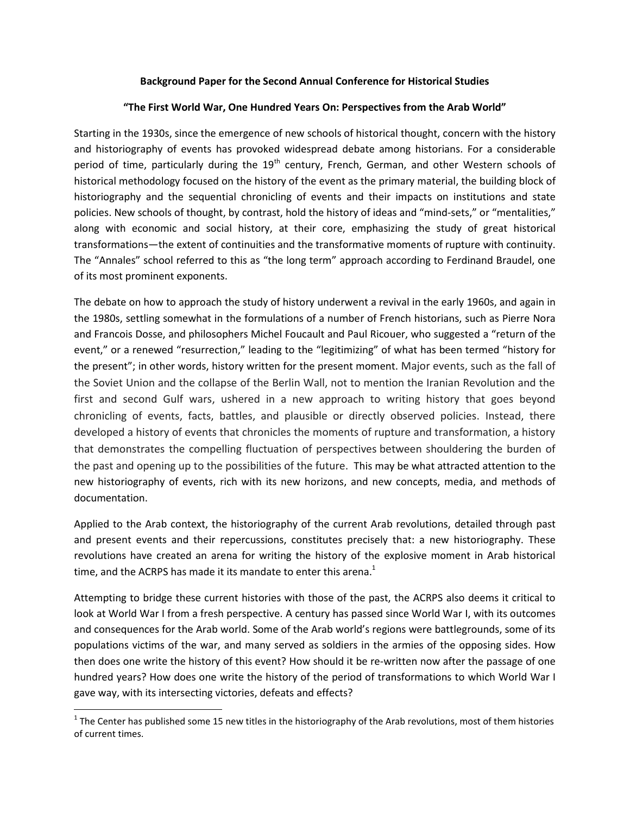## **Background Paper for the Second Annual Conference for Historical Studies**

#### **"The First World War, One Hundred Years On: Perspectives from the Arab World"**

Starting in the 1930s, since the emergence of new schools of historical thought, concern with the history and historiography of events has provoked widespread debate among historians. For a considerable period of time, particularly during the  $19<sup>th</sup>$  century, French, German, and other Western schools of historical methodology focused on the history of the event as the primary material, the building block of historiography and the sequential chronicling of events and their impacts on institutions and state policies. New schools of thought, by contrast, hold the history of ideas and "mind-sets," or "mentalities," along with economic and social history, at their core, emphasizing the study of great historical transformations—the extent of continuities and the transformative moments of rupture with continuity. The "Annales" school referred to this as "the long term" approach according to Ferdinand Braudel, one of its most prominent exponents.

The debate on how to approach the study of history underwent a revival in the early 1960s, and again in the 1980s, settling somewhat in the formulations of a number of French historians, such as Pierre Nora and Francois Dosse, and philosophers Michel Foucault and Paul Ricouer, who suggested a "return of the event," or a renewed "resurrection," leading to the "legitimizing" of what has been termed "history for the present"; in other words, history written for the present moment. Major events, such as the fall of the Soviet Union and the collapse of the Berlin Wall, not to mention the Iranian Revolution and the first and second Gulf wars, ushered in a new approach to writing history that goes beyond chronicling of events, facts, battles, and plausible or directly observed policies. Instead, there developed a history of events that chronicles the moments of rupture and transformation, a history that demonstrates the compelling fluctuation of perspectives between shouldering the burden of the past and opening up to the possibilities of the future. This may be what attracted attention to the new historiography of events, rich with its new horizons, and new concepts, media, and methods of documentation.

Applied to the Arab context, the historiography of the current Arab revolutions, detailed through past and present events and their repercussions, constitutes precisely that: a new historiography. These revolutions have created an arena for writing the history of the explosive moment in Arab historical time, and the ACRPS has made it its mandate to enter this arena.<sup>1</sup>

Attempting to bridge these current histories with those of the past, the ACRPS also deems it critical to look at World War I from a fresh perspective. A century has passed since World War I, with its outcomes and consequences for the Arab world. Some of the Arab world's regions were battlegrounds, some of its populations victims of the war, and many served as soldiers in the armies of the opposing sides. How then does one write the history of this event? How should it be re-written now after the passage of one hundred years? How does one write the history of the period of transformations to which World War I gave way, with its intersecting victories, defeats and effects?

l

 $1$  The Center has published some 15 new titles in the historiography of the Arab revolutions, most of them histories of current times.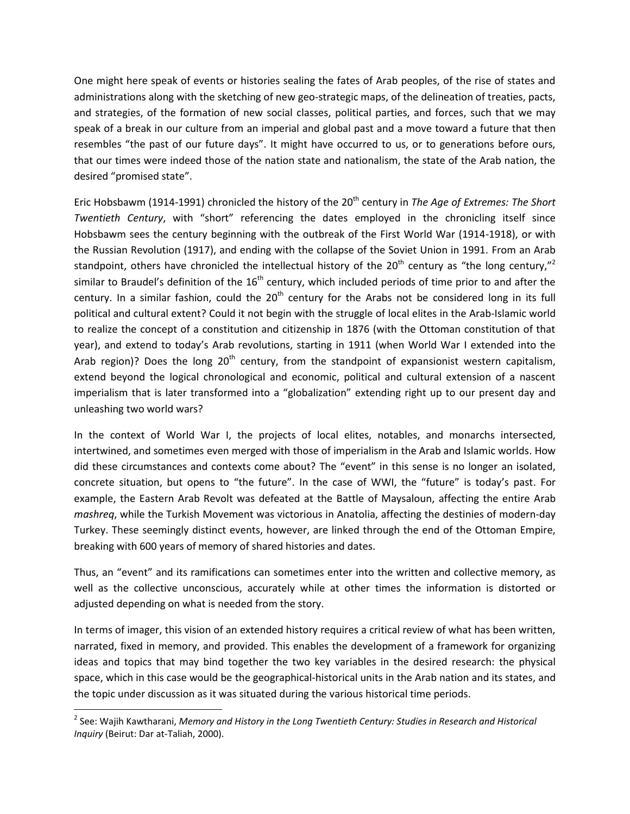One might here speak of events or histories sealing the fates of Arab peoples, of the rise of states and administrations along with the sketching of new geo-strategic maps, of the delineation of treaties, pacts, and strategies, of the formation of new social classes, political parties, and forces, such that we may speak of a break in our culture from an imperial and global past and a move toward a future that then resembles "the past of our future days". It might have occurred to us, or to generations before ours, that our times were indeed those of the nation state and nationalism, the state of the Arab nation, the desired "promised state".

Eric Hobsbawm (1914-1991) chronicled the history of the 20<sup>th</sup> century in *The Age of Extremes: The Short Twentieth Century*, with "short" referencing the dates employed in the chronicling itself since Hobsbawm sees the century beginning with the outbreak of the First World War (1914-1918), or with the Russian Revolution (1917), and ending with the collapse of the Soviet Union in 1991. From an Arab standpoint, others have chronicled the intellectual history of the 20<sup>th</sup> century as "the long century,"<sup>2</sup> similar to Braudel's definition of the  $16<sup>th</sup>$  century, which included periods of time prior to and after the century. In a similar fashion, could the  $20<sup>th</sup>$  century for the Arabs not be considered long in its full political and cultural extent? Could it not begin with the struggle of local elites in the Arab-Islamic world to realize the concept of a constitution and citizenship in 1876 (with the Ottoman constitution of that year), and extend to today's Arab revolutions, starting in 1911 (when World War I extended into the Arab region)? Does the long  $20<sup>th</sup>$  century, from the standpoint of expansionist western capitalism, extend beyond the logical chronological and economic, political and cultural extension of a nascent imperialism that is later transformed into a "globalization" extending right up to our present day and unleashing two world wars?

In the context of World War I, the projects of local elites, notables, and monarchs intersected, intertwined, and sometimes even merged with those of imperialism in the Arab and Islamic worlds. How did these circumstances and contexts come about? The "event" in this sense is no longer an isolated, concrete situation, but opens to "the future". In the case of WWI, the "future" is today's past. For example, the Eastern Arab Revolt was defeated at the Battle of Maysaloun, affecting the entire Arab *mashreq*, while the Turkish Movement was victorious in Anatolia, affecting the destinies of modern-day Turkey. These seemingly distinct events, however, are linked through the end of the Ottoman Empire, breaking with 600 years of memory of shared histories and dates.

Thus, an "event" and its ramifications can sometimes enter into the written and collective memory, as well as the collective unconscious, accurately while at other times the information is distorted or adjusted depending on what is needed from the story.

In terms of imager, this vision of an extended history requires a critical review of what has been written, narrated, fixed in memory, and provided. This enables the development of a framework for organizing ideas and topics that may bind together the two key variables in the desired research: the physical space, which in this case would be the geographical-historical units in the Arab nation and its states, and the topic under discussion as it was situated during the various historical time periods.

l

<sup>&</sup>lt;sup>2</sup> See: Wajih Kawtharani, *Memory and History in the Long Twentieth Century: Studies in Research and Historical Inquiry* (Beirut: Dar at-Taliah, 2000).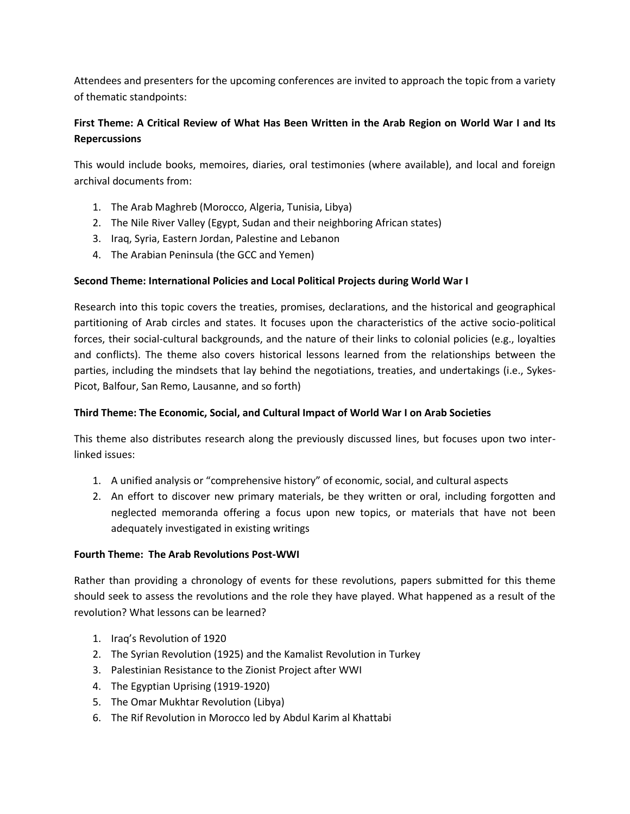Attendees and presenters for the upcoming conferences are invited to approach the topic from a variety of thematic standpoints:

# **First Theme: A Critical Review of What Has Been Written in the Arab Region on World War I and Its Repercussions**

This would include books, memoires, diaries, oral testimonies (where available), and local and foreign archival documents from:

- 1. The Arab Maghreb (Morocco, Algeria, Tunisia, Libya)
- 2. The Nile River Valley (Egypt, Sudan and their neighboring African states)
- 3. Iraq, Syria, Eastern Jordan, Palestine and Lebanon
- 4. The Arabian Peninsula (the GCC and Yemen)

# **Second Theme: International Policies and Local Political Projects during World War I**

Research into this topic covers the treaties, promises, declarations, and the historical and geographical partitioning of Arab circles and states. It focuses upon the characteristics of the active socio-political forces, their social-cultural backgrounds, and the nature of their links to colonial policies (e.g., loyalties and conflicts). The theme also covers historical lessons learned from the relationships between the parties, including the mindsets that lay behind the negotiations, treaties, and undertakings (i.e., Sykes-Picot, Balfour, San Remo, Lausanne, and so forth)

# **Third Theme: The Economic, Social, and Cultural Impact of World War I on Arab Societies**

This theme also distributes research along the previously discussed lines, but focuses upon two interlinked issues:

- 1. A unified analysis or "comprehensive history" of economic, social, and cultural aspects
- 2. An effort to discover new primary materials, be they written or oral, including forgotten and neglected memoranda offering a focus upon new topics, or materials that have not been adequately investigated in existing writings

## **Fourth Theme: The Arab Revolutions Post-WWI**

Rather than providing a chronology of events for these revolutions, papers submitted for this theme should seek to assess the revolutions and the role they have played. What happened as a result of the revolution? What lessons can be learned?

- 1. Iraq's Revolution of 1920
- 2. The Syrian Revolution (1925) and the Kamalist Revolution in Turkey
- 3. Palestinian Resistance to the Zionist Project after WWI
- 4. The Egyptian Uprising (1919-1920)
- 5. The Omar Mukhtar Revolution (Libya)
- 6. The Rif Revolution in Morocco led by Abdul Karim al Khattabi